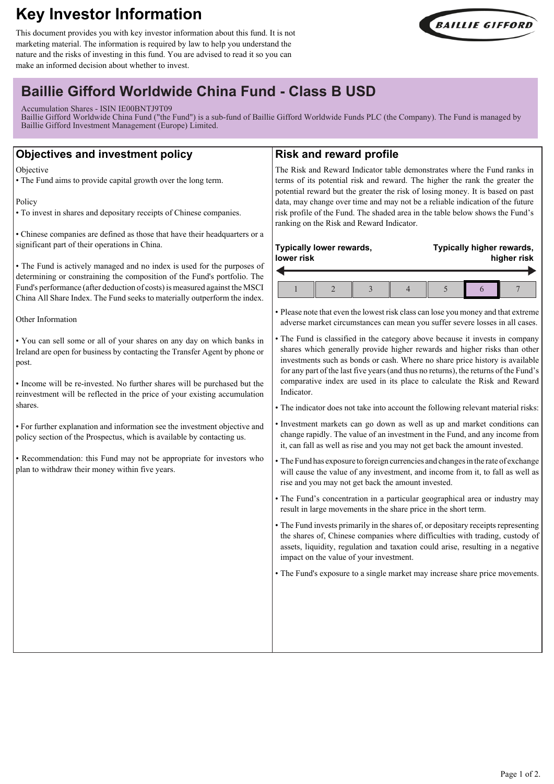# **Key Investor Information**

This document provides you with key investor information about this fund. It is not marketing material. The information is required by law to help you understand the nature and the risks of investing in this fund. You are advised to read it so you can make an informed decision about whether to invest.



## **Baillie Gifford Worldwide China Fund - Class B USD**

Accumulation Shares - ISIN IE00BNTJ9T09

Baillie Gifford Worldwide China Fund ("the Fund") is a sub-fund of Baillie Gifford Worldwide Funds PLC (the Company). The Fund is managed by Baillie Gifford Investment Management (Europe) Limited.

## **Objectives and investment policy**

**Objective** 

• The Fund aims to provide capital growth over the long term.

Policy

• To invest in shares and depositary receipts of Chinese companies.

• Chinese companies are defined as those that have their headquarters or a significant part of their operations in China.

• The Fund is actively managed and no index is used for the purposes of determining or constraining the composition of the Fund's portfolio. The Fund's performance (after deduction of costs) is measured against the MSCI China All Share Index. The Fund seeks to materially outperform the index.

Other Information

• You can sell some or all of your shares on any day on which banks in Ireland are open for business by contacting the Transfer Agent by phone or post.

• Income will be re-invested. No further shares will be purchased but the reinvestment will be reflected in the price of your existing accumulation shares.

• For further explanation and information see the investment objective and policy section of the Prospectus, which is available by contacting us.

• Recommendation: this Fund may not be appropriate for investors who plan to withdraw their money within five years.

## **Risk and reward profile**

The Risk and Reward Indicator table demonstrates where the Fund ranks in terms of its potential risk and reward. The higher the rank the greater the potential reward but the greater the risk of losing money. It is based on past data, may change over time and may not be a reliable indication of the future risk profile of the Fund. The shaded area in the table below shows the Fund's ranking on the Risk and Reward Indicator.

#### **Typically lower rewards, lower risk**  $\overline{\phantom{a}}$

**Typically higher rewards, higher risk**

• Please note that even the lowest risk class can lose you money and that extreme adverse market circumstances can mean you suffer severe losses in all cases.

- The Fund is classified in the category above because it invests in company shares which generally provide higher rewards and higher risks than other investments such as bonds or cash. Where no share price history is available for any part of the last five years (and thus no returns), the returns of the Fund's comparative index are used in its place to calculate the Risk and Reward Indicator.
- The indicator does not take into account the following relevant material risks:
- Investment markets can go down as well as up and market conditions can change rapidly. The value of an investment in the Fund, and any income from it, can fall as well as rise and you may not get back the amount invested.
- The Fund has exposure to foreign currencies and changes in the rate of exchange will cause the value of any investment, and income from it, to fall as well as rise and you may not get back the amount invested.
- The Fund's concentration in a particular geographical area or industry may result in large movements in the share price in the short term.
- The Fund invests primarily in the shares of, or depositary receipts representing the shares of, Chinese companies where difficulties with trading, custody of assets, liquidity, regulation and taxation could arise, resulting in a negative impact on the value of your investment.

• The Fund's exposure to a single market may increase share price movements.